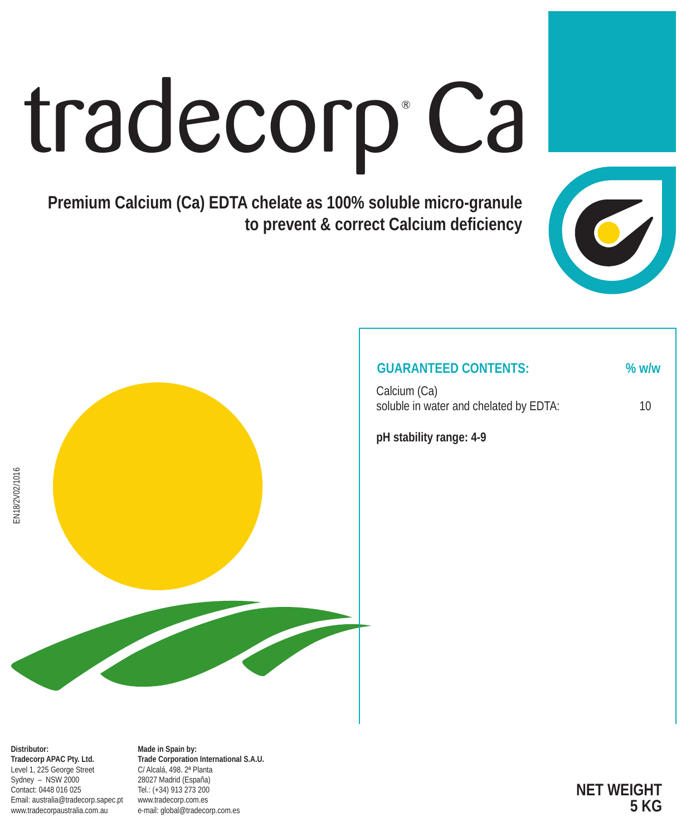# tradecorp Ca

**Premium Calcium (Ca) EDTA chelate as 100% soluble micro-granule to prevent & correct Calcium deficiency**



### **GUARANTEED CONTENTS: % w/w**

Calcium (Ca) soluble in water and chelated by EDTA: 10

**pH stability range: 4-9**



**Distributor: Tradecorp APAC Pty. Ltd.** Level 1, 225 George Street Sydney – NSW 2000 Contact: 0448 016 025 Email: australia@tradecorp.sapec.pt www.tradecorpaustralia.com.au

**Made in Spain by: Trade Corporation International S.A.U.** C/ Alcalá, 498. 2ª Planta 28027 Madrid (España) Tel.: (+34) 913 273 200 www.tradecorp.com.es e-mail: global@tradecorp.com.es

**NET WEIGHT 5 KG**